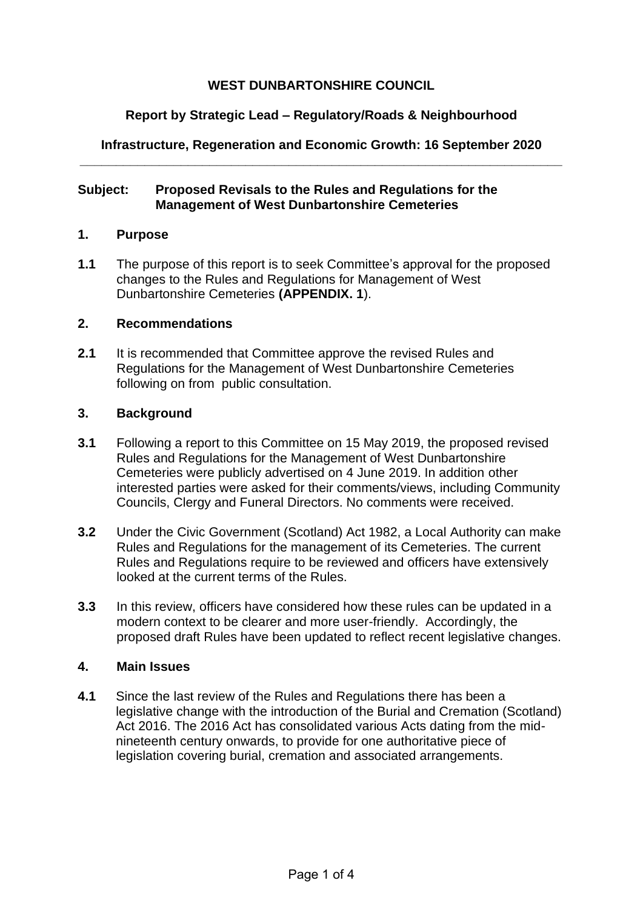# **WEST DUNBARTONSHIRE COUNCIL**

## **Report by Strategic Lead – Regulatory/Roads & Neighbourhood**

#### **Infrastructure, Regeneration and Economic Growth: 16 September 2020 \_\_\_\_\_\_\_\_\_\_\_\_\_\_\_\_\_\_\_\_\_\_\_\_\_\_\_\_\_\_\_\_\_\_\_\_\_\_\_\_\_\_\_\_\_\_\_\_\_\_\_\_\_\_\_\_\_\_\_\_\_\_\_\_\_\_\_**

#### **Subject: Proposed Revisals to the Rules and Regulations for the Management of West Dunbartonshire Cemeteries**

#### **1. Purpose**

**1.1** The purpose of this report is to seek Committee's approval for the proposed changes to the Rules and Regulations for Management of West Dunbartonshire Cemeteries **(APPENDIX. 1**).

#### **2. Recommendations**

**2.1** It is recommended that Committee approve the revised Rules and Regulations for the Management of West Dunbartonshire Cemeteries following on from public consultation.

#### **3. Background**

- **3.1** Following a report to this Committee on 15 May 2019, the proposed revised Rules and Regulations for the Management of West Dunbartonshire Cemeteries were publicly advertised on 4 June 2019. In addition other interested parties were asked for their comments/views, including Community Councils, Clergy and Funeral Directors. No comments were received.
- **3.2** Under the Civic Government (Scotland) Act 1982, a Local Authority can make Rules and Regulations for the management of its Cemeteries. The current Rules and Regulations require to be reviewed and officers have extensively looked at the current terms of the Rules.
- **3.3** In this review, officers have considered how these rules can be updated in a modern context to be clearer and more user-friendly. Accordingly, the proposed draft Rules have been updated to reflect recent legislative changes.

#### **4. Main Issues**

**4.1** Since the last review of the Rules and Regulations there has been a legislative change with the introduction of the Burial and Cremation (Scotland) Act 2016. The 2016 Act has consolidated various Acts dating from the midnineteenth century onwards, to provide for one authoritative piece of legislation covering burial, cremation and associated arrangements.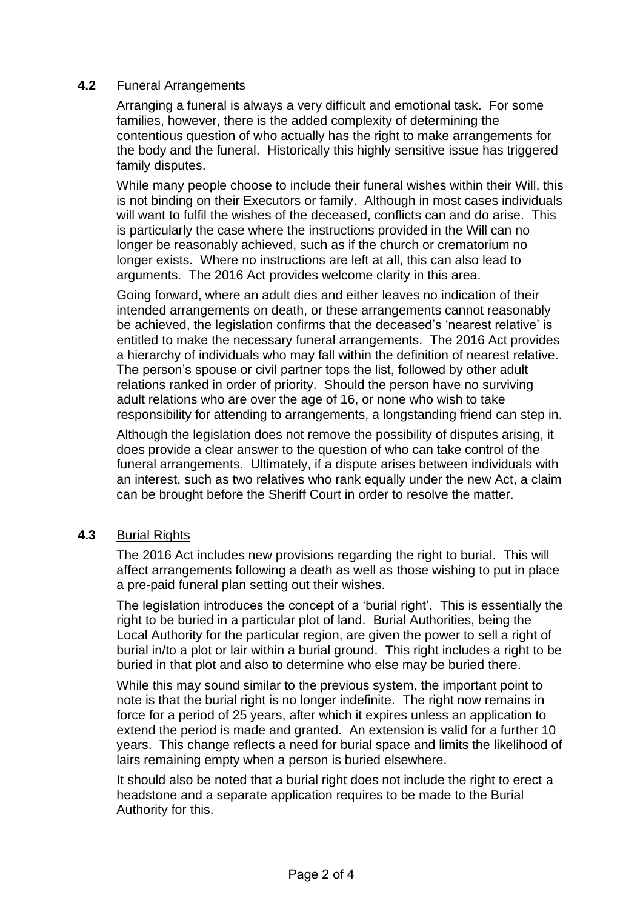# **4.2** Funeral Arrangements

Arranging a funeral is always a very difficult and emotional task. For some families, however, there is the added complexity of determining the contentious question of who actually has the right to make arrangements for the body and the funeral. Historically this highly sensitive issue has triggered family disputes.

While many people choose to include their funeral wishes within their Will, this is not binding on their Executors or family. Although in most cases individuals will want to fulfil the wishes of the deceased, conflicts can and do arise. This is particularly the case where the instructions provided in the Will can no longer be reasonably achieved, such as if the church or crematorium no longer exists. Where no instructions are left at all, this can also lead to arguments. The 2016 Act provides welcome clarity in this area.

Going forward, where an adult dies and either leaves no indication of their intended arrangements on death, or these arrangements cannot reasonably be achieved, the legislation confirms that the deceased's 'nearest relative' is entitled to make the necessary funeral arrangements. The 2016 Act provides a hierarchy of individuals who may fall within the definition of nearest relative. The person's spouse or civil partner tops the list, followed by other adult relations ranked in order of priority. Should the person have no surviving adult relations who are over the age of 16, or none who wish to take responsibility for attending to arrangements, a longstanding friend can step in.

Although the legislation does not remove the possibility of disputes arising, it does provide a clear answer to the question of who can take control of the funeral arrangements. Ultimately, if a dispute arises between individuals with an interest, such as two relatives who rank equally under the new Act, a claim can be brought before the Sheriff Court in order to resolve the matter.

## **4.3** Burial Rights

The 2016 Act includes new provisions regarding the right to burial. This will affect arrangements following a death as well as those wishing to put in place a pre-paid funeral plan setting out their wishes.

The legislation introduces the concept of a 'burial right'. This is essentially the right to be buried in a particular plot of land. Burial Authorities, being the Local Authority for the particular region, are given the power to sell a right of burial in/to a plot or lair within a burial ground. This right includes a right to be buried in that plot and also to determine who else may be buried there.

While this may sound similar to the previous system, the important point to note is that the burial right is no longer indefinite. The right now remains in force for a period of 25 years, after which it expires unless an application to extend the period is made and granted. An extension is valid for a further 10 years. This change reflects a need for burial space and limits the likelihood of lairs remaining empty when a person is buried elsewhere.

It should also be noted that a burial right does not include the right to erect a headstone and a separate application requires to be made to the Burial Authority for this.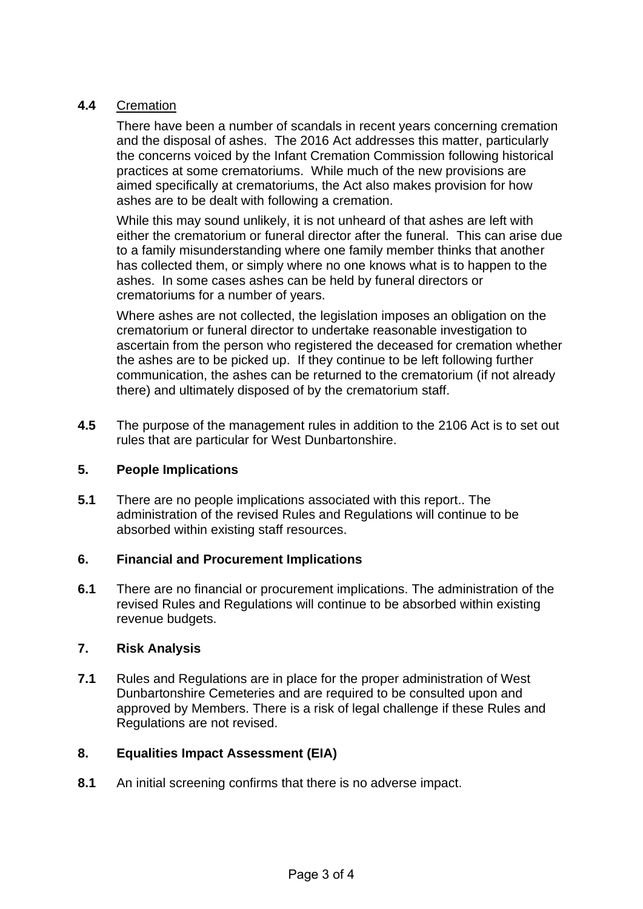# **4.4** Cremation

There have been a number of scandals in recent years concerning cremation and the disposal of ashes. The 2016 Act addresses this matter, particularly the concerns voiced by the Infant Cremation Commission following historical practices at some crematoriums. While much of the new provisions are aimed specifically at crematoriums, the Act also makes provision for how ashes are to be dealt with following a cremation.

While this may sound unlikely, it is not unheard of that ashes are left with either the crematorium or funeral director after the funeral. This can arise due to a family misunderstanding where one family member thinks that another has collected them, or simply where no one knows what is to happen to the ashes. In some cases ashes can be held by funeral directors or crematoriums for a number of years.

Where ashes are not collected, the legislation imposes an obligation on the crematorium or funeral director to undertake reasonable investigation to ascertain from the person who registered the deceased for cremation whether the ashes are to be picked up. If they continue to be left following further communication, the ashes can be returned to the crematorium (if not already there) and ultimately disposed of by the crematorium staff.

**4.5** The purpose of the management rules in addition to the 2106 Act is to set out rules that are particular for West Dunbartonshire.

# **5. People Implications**

**5.1** There are no people implications associated with this report.. The administration of the revised Rules and Regulations will continue to be absorbed within existing staff resources.

## **6. Financial and Procurement Implications**

**6.1** There are no financial or procurement implications. The administration of the revised Rules and Regulations will continue to be absorbed within existing revenue budgets.

# **7. Risk Analysis**

**7.1** Rules and Regulations are in place for the proper administration of West Dunbartonshire Cemeteries and are required to be consulted upon and approved by Members. There is a risk of legal challenge if these Rules and Regulations are not revised.

## **8. Equalities Impact Assessment (EIA)**

**8.1** An initial screening confirms that there is no adverse impact.